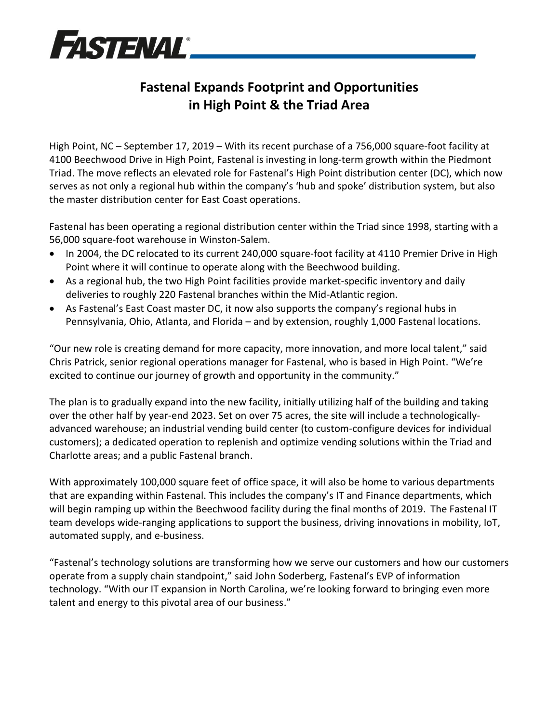

## **Fastenal Expands Footprint and Opportunities in High Point & the Triad Area**

High Point, NC – September 17, 2019 – With its recent purchase of a 756,000 square-foot facility at 4100 Beechwood Drive in High Point, Fastenal is investing in long-term growth within the Piedmont Triad. The move reflects an elevated role for Fastenal's High Point distribution center (DC), which now serves as not only a regional hub within the company's 'hub and spoke' distribution system, but also the master distribution center for East Coast operations.

Fastenal has been operating a regional distribution center within the Triad since 1998, starting with a 56,000 square-foot warehouse in Winston-Salem.

- In 2004, the DC relocated to its current 240,000 square-foot facility at 4110 Premier Drive in High Point where it will continue to operate along with the Beechwood building.
- As a regional hub, the two High Point facilities provide market-specific inventory and daily deliveries to roughly 220 Fastenal branches within the Mid-Atlantic region.
- As Fastenal's East Coast master DC, it now also supports the company's regional hubs in Pennsylvania, Ohio, Atlanta, and Florida – and by extension, roughly 1,000 Fastenal locations.

"Our new role is creating demand for more capacity, more innovation, and more local talent," said Chris Patrick, senior regional operations manager for Fastenal, who is based in High Point. "We're excited to continue our journey of growth and opportunity in the community."

The plan is to gradually expand into the new facility, initially utilizing half of the building and taking over the other half by year-end 2023. Set on over 75 acres, the site will include a technologicallyadvanced warehouse; an industrial vending build center (to custom-configure devices for individual customers); a dedicated operation to replenish and optimize vending solutions within the Triad and Charlotte areas; and a public Fastenal branch.

With approximately 100,000 square feet of office space, it will also be home to various departments that are expanding within Fastenal. This includes the company's IT and Finance departments, which will begin ramping up within the Beechwood facility during the final months of 2019. The Fastenal IT team develops wide-ranging applications to support the business, driving innovations in mobility, IoT, automated supply, and e-business.

"Fastenal's technology solutions are transforming how we serve our customers and how our customers operate from a supply chain standpoint," said John Soderberg, Fastenal's EVP of information technology. "With our IT expansion in North Carolina, we're looking forward to bringing even more talent and energy to this pivotal area of our business."